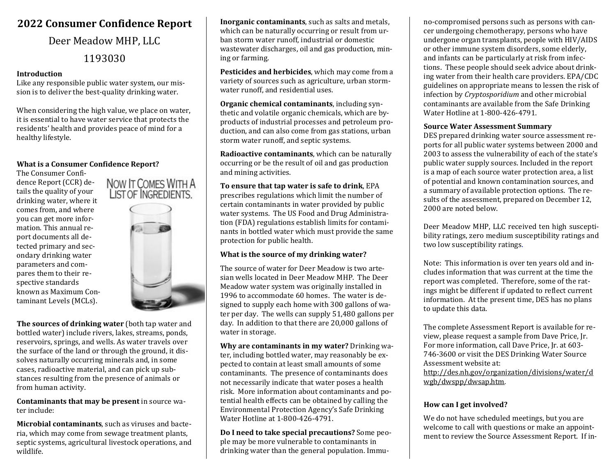# **2022 Consumer Confidence Report**

# Deer Meadow MHP, LLC

# 1193030

#### **Introduction**

Like any responsible public water system, our mission is to deliver the best-quality drinking water.

When considering the high value, we place on water, it is essential to have water service that protects the residents' health and provides peace of mind for a healthy lifestyle.

#### **What is a Consumer Confidence Report?**

The Consumer Confidence Report (CCR) details the quality of your drinking water, where it comes from, and where you can get more information. This annual report documents all detected primary and secondary drinking water parameters and compares them to their respective standards known as Maximum Contaminant Levels (MCLs).



NOW IT COMES WITH A

**The sources of drinking water** (both tap water and bottled water) include rivers, lakes, streams, ponds, reservoirs, springs, and wells. As water travels over the surface of the land or through the ground, it dissolves naturally occurring minerals and, in some cases, radioactive material, and can pick up substances resulting from the presence of animals or from human activity.

**Contaminants that may be present** in source water include:

**Microbial contaminants**, such as viruses and bacteria, which may come from sewage treatment plants, septic systems, agricultural livestock operations, and wildlife.

**Inorganic contaminants**, such as salts and metals, which can be naturally occurring or result from urban storm water runoff, industrial or domestic wastewater discharges, oil and gas production, mining or farming.

**Pesticides and herbicides**, which may come from a variety of sources such as agriculture, urban stormwater runoff, and residential uses.

**Organic chemical contaminants**, including synthetic and volatile organic chemicals, which are byproducts of industrial processes and petroleum production, and can also come from gas stations, urban storm water runoff, and septic systems.

**Radioactive contaminants**, which can be naturally occurring or be the result of oil and gas production and mining activities.

**To ensure that tap water is safe to drink**, EPA prescribes regulations which limit the number of certain contaminants in water provided by public water systems. The US Food and Drug Administration (FDA) regulations establish limits for contaminants in bottled water which must provide the same protection for public health.

## **What is the source of my drinking water?**

The source of water for Deer Meadow is two artesian wells located in Deer Meadow MHP. The Deer Meadow water system was originally installed in 1996 to accommodate 60 homes. The water is designed to supply each home with 300 gallons of water per day. The wells can supply 51,480 gallons per day. In addition to that there are 20,000 gallons of water in storage.

**Why are contaminants in my water?** Drinking water, including bottled water, may reasonably be expected to contain at least small amounts of some contaminants. The presence of contaminants does not necessarily indicate that water poses a health risk. More information about contaminants and potential health effects can be obtained by calling the Environmental Protection Agency's Safe Drinking Water Hotline at 1-800-426-4791.

**Do I need to take special precautions?** Some people may be more vulnerable to contaminants in drinking water than the general population. Immu-

no-compromised persons such as persons with cancer undergoing chemotherapy, persons who have undergone organ transplants, people with HIV/AIDS or other immune system disorders, some elderly, and infants can be particularly at risk from infections. These people should seek advice about drinking water from their health care providers. EPA/CDC guidelines on appropriate means to lessen the risk of infection by *Cryptosporidium* and other microbial contaminants are available from the Safe Drinking Water Hotline at 1-800-426-4791.

#### **Source Water Assessment Summary**

DES prepared drinking water source assessment reports for all public water systems between 2000 and 2003 to assess the vulnerability of each of the state's public water supply sources. Included in the report is a map of each source water protection area, a list of potential and known contamination sources, and a summary of available protection options. The results of the assessment, prepared on December 12, 2000 are noted below.

Deer Meadow MHP, LLC received ten high susceptibility ratings, zero medium susceptibility ratings and two low susceptibility ratings.

Note: This information is over ten years old and includes information that was current at the time the report was completed. Therefore, some of the ratings might be different if updated to reflect current information. At the present time, DES has no plans to update this data.

The complete Assessment Report is available for review, please request a sample from Dave Price, Jr. For more information, call Dave Price, Jr. at 603- 746-3600 or visit the DES Drinking Water Source Assessment website at: [http://des.nh.gov/organization/divisions/water/d](http://des.nh.gov/organization/divisions/water/dwgb/dwspp/dwsap.htm) [wgb/dwspp/dwsap.htm.](http://des.nh.gov/organization/divisions/water/dwgb/dwspp/dwsap.htm)

## **How can I get involved?**

We do not have scheduled meetings, but you are welcome to call with questions or make an appointment to review the Source Assessment Report. If in